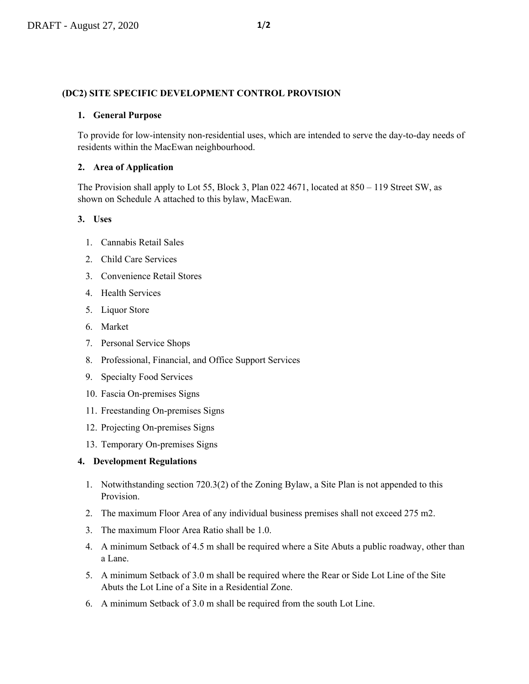#### **(DC2) SITE SPECIFIC DEVELOPMENT CONTROL PROVISION**

#### **1. General Purpose**

To provide for low-intensity non-residential uses, which are intended to serve the day-to-day needs of residents within the MacEwan neighbourhood.

## **2. Area of Application**

The Provision shall apply to Lot 55, Block 3, Plan 022 4671, located at 850 – 119 Street SW, as shown on Schedule A attached to this bylaw, MacEwan.

## **3. Uses**

- 1. Cannabis Retail Sales
- 2. Child Care Services
- 3. Convenience Retail Stores
- 4. Health Services
- 5. Liquor Store
- 6. Market
- 7. Personal Service Shops
- 8. Professional, Financial, and Office Support Services
- 9. Specialty Food Services
- 10. Fascia On-premises Signs
- 11. Freestanding On-premises Signs
- 12. Projecting On-premises Signs
- 13. Temporary On-premises Signs

# **4. Development Regulations**

- 1. Notwithstanding section 720.3(2) of the Zoning Bylaw, a Site Plan is not appended to this Provision.
- 2. The maximum Floor Area of any individual business premises shall not exceed 275 m2.
- 3. The maximum Floor Area Ratio shall be 1.0.
- 4. A minimum Setback of 4.5 m shall be required where a Site Abuts a public roadway, other than a Lane.
- 5. A minimum Setback of 3.0 m shall be required where the Rear or Side Lot Line of the Site Abuts the Lot Line of a Site in a Residential Zone.
- 6. A minimum Setback of 3.0 m shall be required from the south Lot Line.